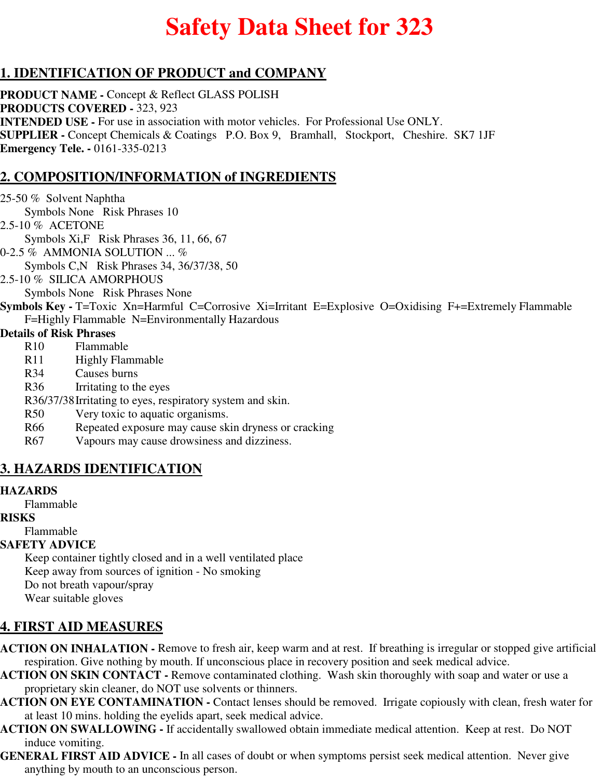# **Safety Data Sheet for 323**

## **1. IDENTIFICATION OF PRODUCT and COMPANY**

**PRODUCT NAME -** Concept & Reflect GLASS POLISH **PRODUCTS COVERED -** 323, 923 **INTENDED USE -** For use in association with motor vehicles. For Professional Use ONLY. **SUPPLIER -** Concept Chemicals & Coatings P.O. Box 9, Bramhall, Stockport, Cheshire. SK7 1JF **Emergency Tele. -** 0161-335-0213

## **2. COMPOSITION/INFORMATION of INGREDIENTS**

25-50 % Solvent Naphtha Symbols None Risk Phrases 10 2.5-10 % ACETONE Symbols Xi,F Risk Phrases 36, 11, 66, 67 0-2.5 % AMMONIA SOLUTION ... % Symbols C,N Risk Phrases 34, 36/37/38, 50 2.5-10 % SILICA AMORPHOUS Symbols None Risk Phrases None **Symbols Key -** T=Toxic Xn=Harmful C=Corrosive Xi=Irritant E=Explosive O=Oxidising F+=Extremely Flammable F=Highly Flammable N=Environmentally Hazardous **Details of Risk Phrases** R10 Flammable R<sub>11</sub> Highly Flammable R34 Causes burns R36 Irritating to the eyes R36/37/38Irritating to eyes, respiratory system and skin. R50 Very toxic to aquatic organisms. R66 Repeated exposure may cause skin dryness or cracking R67 Vapours may cause drowsiness and dizziness.

## **3. HAZARDS IDENTIFICATION**

#### **HAZARDS**

Flammable

#### **RISKS**

## Flammable

#### **SAFETY ADVICE**

Keep container tightly closed and in a well ventilated place Keep away from sources of ignition - No smoking Do not breath vapour/spray Wear suitable gloves

## **4. FIRST AID MEASURES**

- **ACTION ON INHALATION** Remove to fresh air, keep warm and at rest. If breathing is irregular or stopped give artificial respiration. Give nothing by mouth. If unconscious place in recovery position and seek medical advice.
- **ACTION ON SKIN CONTACT** Remove contaminated clothing. Wash skin thoroughly with soap and water or use a proprietary skin cleaner, do NOT use solvents or thinners.
- **ACTION ON EYE CONTAMINATION** Contact lenses should be removed. Irrigate copiously with clean, fresh water for at least 10 mins. holding the eyelids apart, seek medical advice.
- **ACTION ON SWALLOWING** If accidentally swallowed obtain immediate medical attention. Keep at rest. Do NOT induce vomiting.
- **GENERAL FIRST AID ADVICE** In all cases of doubt or when symptoms persist seek medical attention. Never give anything by mouth to an unconscious person.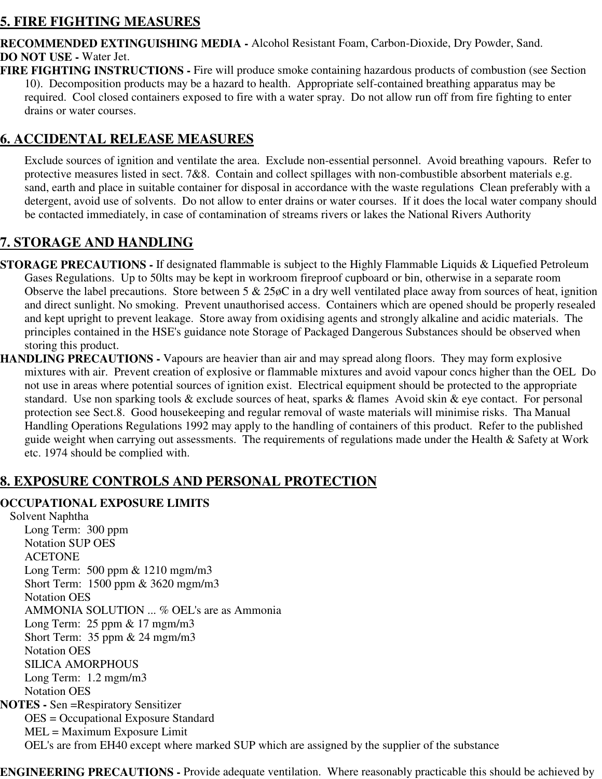## **5. FIRE FIGHTING MEASURES**

**RECOMMENDED EXTINGUISHING MEDIA -** Alcohol Resistant Foam, Carbon-Dioxide, Dry Powder, Sand. **DO NOT USE -** Water Jet.

**FIRE FIGHTING INSTRUCTIONS -** Fire will produce smoke containing hazardous products of combustion (see Section 10). Decomposition products may be a hazard to health. Appropriate self-contained breathing apparatus may be required. Cool closed containers exposed to fire with a water spray. Do not allow run off from fire fighting to enter drains or water courses.

## **6. ACCIDENTAL RELEASE MEASURES**

Exclude sources of ignition and ventilate the area. Exclude non-essential personnel. Avoid breathing vapours. Refer to protective measures listed in sect. 7&8. Contain and collect spillages with non-combustible absorbent materials e.g. sand, earth and place in suitable container for disposal in accordance with the waste regulations Clean preferably with a detergent, avoid use of solvents. Do not allow to enter drains or water courses. If it does the local water company should be contacted immediately, in case of contamination of streams rivers or lakes the National Rivers Authority

# **7. STORAGE AND HANDLING**

- **STORAGE PRECAUTIONS** If designated flammable is subject to the Highly Flammable Liquids & Liquefied Petroleum Gases Regulations. Up to 50lts may be kept in workroom fireproof cupboard or bin, otherwise in a separate room Observe the label precautions. Store between 5 & 25øC in a dry well ventilated place away from sources of heat, ignition and direct sunlight. No smoking. Prevent unauthorised access. Containers which are opened should be properly resealed and kept upright to prevent leakage. Store away from oxidising agents and strongly alkaline and acidic materials. The principles contained in the HSE's guidance note Storage of Packaged Dangerous Substances should be observed when storing this product.
- **HANDLING PRECAUTIONS** Vapours are heavier than air and may spread along floors. They may form explosive mixtures with air. Prevent creation of explosive or flammable mixtures and avoid vapour concs higher than the OEL Do not use in areas where potential sources of ignition exist. Electrical equipment should be protected to the appropriate standard. Use non sparking tools & exclude sources of heat, sparks & flames Avoid skin & eye contact. For personal protection see Sect.8. Good housekeeping and regular removal of waste materials will minimise risks. Tha Manual Handling Operations Regulations 1992 may apply to the handling of containers of this product. Refer to the published guide weight when carrying out assessments. The requirements of regulations made under the Health & Safety at Work etc. 1974 should be complied with.

## **8. EXPOSURE CONTROLS AND PERSONAL PROTECTION**

#### **OCCUPATIONAL EXPOSURE LIMITS**

Solvent Naphtha Long Term: 300 ppm Notation SUP OES ACETONE Long Term: 500 ppm & 1210 mgm/m3 Short Term: 1500 ppm & 3620 mgm/m3 Notation OES AMMONIA SOLUTION ... % OEL's are as Ammonia Long Term: 25 ppm & 17 mgm/m3 Short Term: 35 ppm & 24 mgm/m3 Notation OES SILICA AMORPHOUS Long Term: 1.2 mgm/m3 Notation OES **NOTES -** Sen =Respiratory Sensitizer OES = Occupational Exposure Standard MEL = Maximum Exposure Limit OEL's are from EH40 except where marked SUP which are assigned by the supplier of the substance

**ENGINEERING PRECAUTIONS -** Provide adequate ventilation. Where reasonably practicable this should be achieved by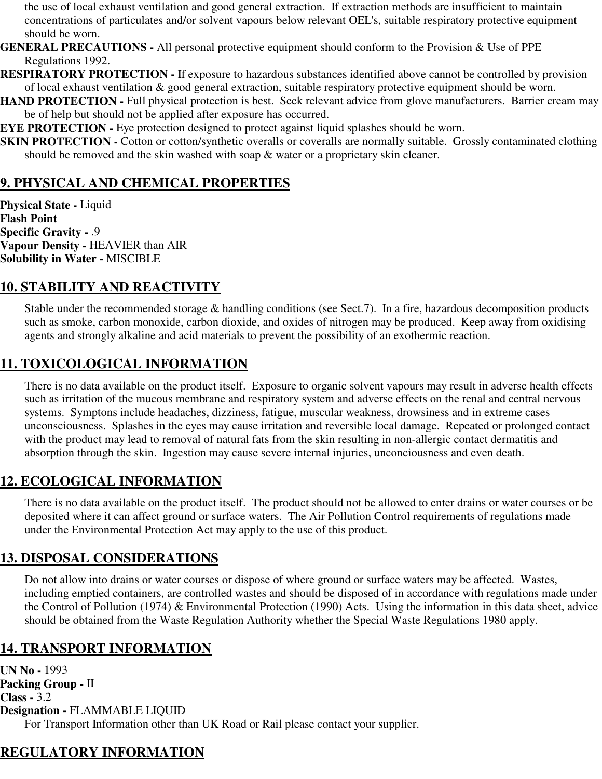the use of local exhaust ventilation and good general extraction. If extraction methods are insufficient to maintain concentrations of particulates and/or solvent vapours below relevant OEL's, suitable respiratory protective equipment should be worn.

**GENERAL PRECAUTIONS -** All personal protective equipment should conform to the Provision & Use of PPE Regulations 1992.

**RESPIRATORY PROTECTION -** If exposure to hazardous substances identified above cannot be controlled by provision of local exhaust ventilation & good general extraction, suitable respiratory protective equipment should be worn.

**HAND PROTECTION - Full physical protection is best. Seek relevant advice from glove manufacturers. Barrier cream may** be of help but should not be applied after exposure has occurred.

**EYE PROTECTION -** Eye protection designed to protect against liquid splashes should be worn.

**SKIN PROTECTION -** Cotton or cotton/synthetic overalls or coveralls are normally suitable. Grossly contaminated clothing should be removed and the skin washed with soap & water or a proprietary skin cleaner.

## **9. PHYSICAL AND CHEMICAL PROPERTIES**

**Physical State -** Liquid **Flash Point Specific Gravity -** .9 **Vapour Density -** HEAVIER than AIR **Solubility in Water -** MISCIBLE

## **10. STABILITY AND REACTIVITY**

Stable under the recommended storage & handling conditions (see Sect.7). In a fire, hazardous decomposition products such as smoke, carbon monoxide, carbon dioxide, and oxides of nitrogen may be produced. Keep away from oxidising agents and strongly alkaline and acid materials to prevent the possibility of an exothermic reaction.

## **11. TOXICOLOGICAL INFORMATION**

There is no data available on the product itself. Exposure to organic solvent vapours may result in adverse health effects such as irritation of the mucous membrane and respiratory system and adverse effects on the renal and central nervous systems. Symptons include headaches, dizziness, fatigue, muscular weakness, drowsiness and in extreme cases unconsciousness. Splashes in the eyes may cause irritation and reversible local damage. Repeated or prolonged contact with the product may lead to removal of natural fats from the skin resulting in non-allergic contact dermatitis and absorption through the skin. Ingestion may cause severe internal injuries, unconciousness and even death.

## **12. ECOLOGICAL INFORMATION**

There is no data available on the product itself. The product should not be allowed to enter drains or water courses or be deposited where it can affect ground or surface waters. The Air Pollution Control requirements of regulations made under the Environmental Protection Act may apply to the use of this product.

## **13. DISPOSAL CONSIDERATIONS**

Do not allow into drains or water courses or dispose of where ground or surface waters may be affected. Wastes, including emptied containers, are controlled wastes and should be disposed of in accordance with regulations made under the Control of Pollution (1974) & Environmental Protection (1990) Acts. Using the information in this data sheet, advice should be obtained from the Waste Regulation Authority whether the Special Waste Regulations 1980 apply.

## **14. TRANSPORT INFORMATION**

**UN No -** 1993 **Packing Group -** II **Class -** 3.2 **Designation -** FLAMMABLE LIQUID For Transport Information other than UK Road or Rail please contact your supplier.

## **REGULATORY INFORMATION**